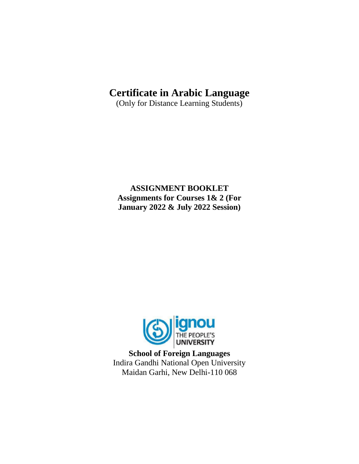# **Certificate in Arabic Language**

(Only for Distance Learning Students)

**ASSIGNMENT BOOKLET Assignments for Courses 1& 2 (For January 2022 & July 2022 Session)**



**School of Foreign Languages** Indira Gandhi National Open University Maidan Garhi, New Delhi-110 068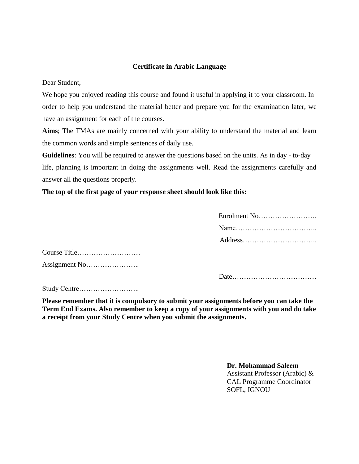## **Certificate in Arabic Language**

Dear Student,

We hope you enjoyed reading this course and found it useful in applying it to your classroom. In order to help you understand the material better and prepare you for the examination later, we have an assignment for each of the courses.

**Aims**; The TMAs are mainly concerned with your ability to understand the material and learn the common words and simple sentences of daily use.

**Guidelines**: You will be required to answer the questions based on the units. As in day - to-day life, planning is important in doing the assignments well. Read the assignments carefully and answer all the questions properly.

**The top of the first page of your response sheet should look like this:**

| Enrolment No |
|--------------|
|              |
|              |

Course Title……………………… Assignment No…………………..

Date………………………………

Study Centre……………………..

**Please remember that it is compulsory to submit your assignments before you can take the Term End Exams. Also remember to keep a copy of your assignments with you and do take a receipt from your Study Centre when you submit the assignments.**

> **Dr. Mohammad Saleem** Assistant Professor (Arabic) & CAL Programme Coordinator SOFL, IGNOU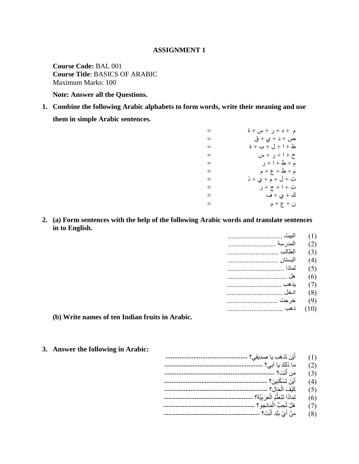#### **ASSIGNMENT 1**

**Course Code:** BAL 001 **Course Title**: BASICS OF ARABIC Maximum Marks: 100

**Note: Answer all the Questions.**

**1. Combine the following Arabic alphabets to form words, write their meaning and use** 

**them in simple Arabic sentences.**

| $=$      | م +د+ر + س +ة                                                    |
|----------|------------------------------------------------------------------|
| $=$      | ص + د + ي + ق                                                    |
| $=$      | $\ddot{a} + 1 + \dot{b} + 1 + \dot{b}$                           |
| $=$      | ح +١+ر +س                                                        |
| $\equiv$ | م + ط + ا + ر                                                    |
| $=$      | $\mathsf{a} + \mathsf{b} + \mathsf{c} + \mathsf{d} + \mathsf{c}$ |
| $=$      | ت + ل + م + ي + ذ                                                |
| $\equiv$ | ت + ا + ج + ر                                                    |
| $=$      | ك + ي + ف                                                        |
| $=$      | ن + ع + م                                                        |

**2. (a) Form sentences with the help of the following Arabic words and translate sentences in to English.**

|          | (1)  |
|----------|------|
| المدر سة | (2)  |
| الطالب   | (3)  |
| البستان  | (4)  |
|          | (5)  |
|          | (6)  |
| يذهب     | (7)  |
| ادخل     | (8)  |
| خرجت     | (9)  |
|          | (10) |
|          |      |

- **(b) Write names of ten Indian fruits in Arabic.**
- **3. Answer the following in Arabic:**
- $(1)$ أ ٌ ِ ذ ره ة ٌا صدٌقً؟ -----------------------------------  $(2)$ ا ذى ل ٌا أتً؟ ------------------------------------------  $(3)$ ّد؟ ----------------------------------------------- ِ أ  $\ddot{\phantom{0}}$  $(4)$ ْ ٍ ِ؟ -------------------------------------------- ن أ ٌ ِ ذ س  $(5)$ اى حاه؟ -------------------------------------------- ع َ )6( ى ا ذا ذ ر ي ٌ اى ع س تٍ ح ؟ ------------------------------------- ļ ح ة )7( ه و ذ َاّجى اى ؟ -------------------------------------- ĺ  $(8)$ ĺ أ ي ت ّ د؟ ----------------------------------------- د أ ي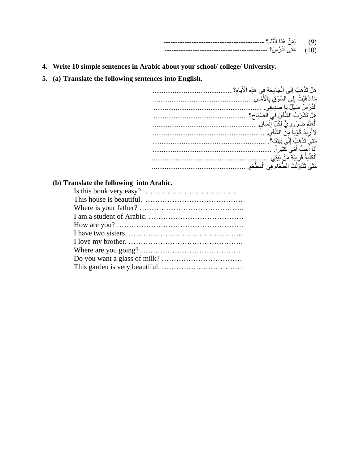| -----------------------------<br>-----<br>-- |  |
|----------------------------------------------|--|
| ---<br>----------------------------<br>-     |  |

- 4. Write 10 simple sentences in Arabic about your school/college/ University.
- 5. (a) Translate the following sentences into English.

| هلْ تَذْهَبُ إِلَى الْجَامِعَة في هذِه الْأيام؟ |
|-------------------------------------------------|
| مَا ذَهَبْتُ إِلَى السُّوْقِ بِالْأَمْسِ        |
| اَلذَّرْ سُ سَهْلٌ يَا صَدِيقِي.                |
| هلْ تَشْرَبُ الشَّأْيَ في الصّبَاح؟             |
| ٱلْعِلْمُ ضَرَرُورِيٌّ لِكُلِّ إِنْسَانٍ.       |
| لاأر يدُ كُوْباً مِنَ الشَّايِ.                 |
| مَتَى تَذْهبُ إِلَي بَيتِكَ؟.                   |
| أَنَا أُحِبُّ أُمِّيَ كَثْيِرٍ اَ               |
| ٱلْكَلِّيةُ قَرِيبَة مِنْ بَيتِي.               |
| مَتَى تَذَاوَلْتَ الطَّعَامِ فِي الْمَطْعَمِ    |
|                                                 |

# (b) Translate the following into Arabic.